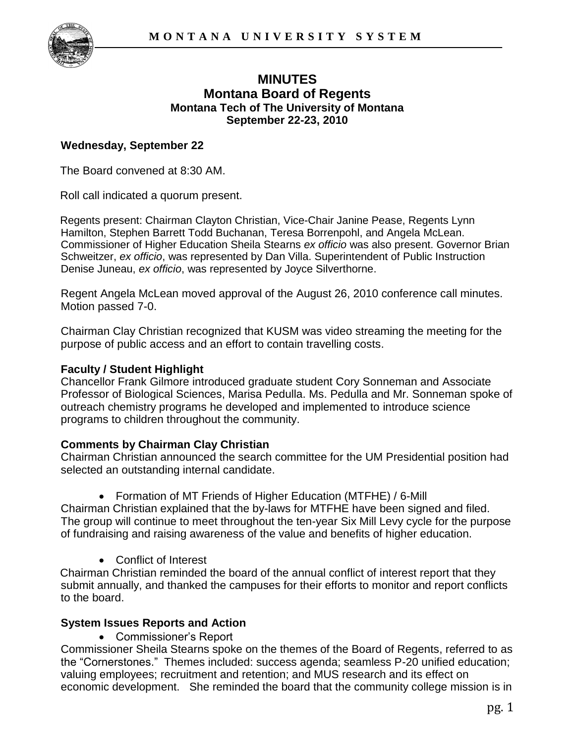

# **MINUTES Montana Board of Regents Montana Tech of The University of Montana September 22-23, 2010**

### **Wednesday, September 22**

The Board convened at 8:30 AM.

Roll call indicated a quorum present.

Regents present: Chairman Clayton Christian, Vice-Chair Janine Pease, Regents Lynn Hamilton, Stephen Barrett Todd Buchanan, Teresa Borrenpohl, and Angela McLean. Commissioner of Higher Education Sheila Stearns *ex officio* was also present. Governor Brian Schweitzer, *ex officio*, was represented by Dan Villa. Superintendent of Public Instruction Denise Juneau, *ex officio*, was represented by Joyce Silverthorne.

Regent Angela McLean moved approval of the August 26, 2010 conference call minutes. Motion passed 7-0.

Chairman Clay Christian recognized that KUSM was video streaming the meeting for the purpose of public access and an effort to contain travelling costs.

### **Faculty / Student Highlight**

Chancellor Frank Gilmore introduced graduate student Cory Sonneman and Associate Professor of Biological Sciences, Marisa Pedulla. Ms. Pedulla and Mr. Sonneman spoke of outreach chemistry programs he developed and implemented to introduce science programs to children throughout the community.

### **Comments by Chairman Clay Christian**

Chairman Christian announced the search committee for the UM Presidential position had selected an outstanding internal candidate.

Formation of MT Friends of Higher Education (MTFHE) / 6-Mill

Chairman Christian explained that the by-laws for MTFHE have been signed and filed. The group will continue to meet throughout the ten-year Six Mill Levy cycle for the purpose of fundraising and raising awareness of the value and benefits of higher education.

Conflict of Interest

Chairman Christian reminded the board of the annual conflict of interest report that they submit annually, and thanked the campuses for their efforts to monitor and report conflicts to the board.

### **System Issues Reports and Action**

Commissioner"s Report

Commissioner Sheila Stearns spoke on the themes of the Board of Regents, referred to as the "Cornerstones." Themes included: success agenda; seamless P-20 unified education; valuing employees; recruitment and retention; and MUS research and its effect on economic development. She reminded the board that the community college mission is in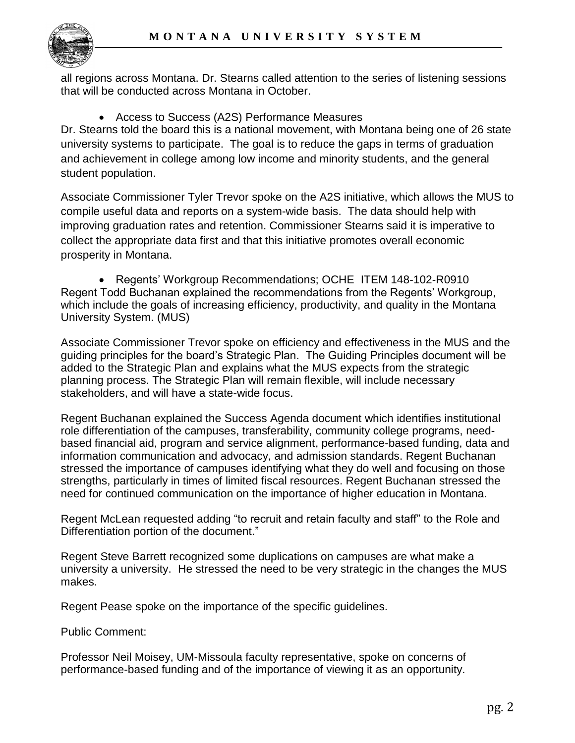

all regions across Montana. Dr. Stearns called attention to the series of listening sessions that will be conducted across Montana in October.

Access to Success (A2S) Performance Measures

Dr. Stearns told the board this is a national movement, with Montana being one of 26 state university systems to participate. The goal is to reduce the gaps in terms of graduation and achievement in college among low income and minority students, and the general student population.

Associate Commissioner Tyler Trevor spoke on the A2S initiative, which allows the MUS to compile useful data and reports on a system-wide basis. The data should help with improving graduation rates and retention. Commissioner Stearns said it is imperative to collect the appropriate data first and that this initiative promotes overall economic prosperity in Montana.

 Regents" Workgroup Recommendations; OCHE ITEM 148-102-R0910 Regent Todd Buchanan explained the recommendations from the Regents" Workgroup, which include the goals of increasing efficiency, productivity, and quality in the Montana University System. (MUS)

Associate Commissioner Trevor spoke on efficiency and effectiveness in the MUS and the guiding principles for the board"s Strategic Plan. The Guiding Principles document will be added to the Strategic Plan and explains what the MUS expects from the strategic planning process. The Strategic Plan will remain flexible, will include necessary stakeholders, and will have a state-wide focus.

Regent Buchanan explained the Success Agenda document which identifies institutional role differentiation of the campuses, transferability, community college programs, needbased financial aid, program and service alignment, performance-based funding, data and information communication and advocacy, and admission standards. Regent Buchanan stressed the importance of campuses identifying what they do well and focusing on those strengths, particularly in times of limited fiscal resources. Regent Buchanan stressed the need for continued communication on the importance of higher education in Montana.

Regent McLean requested adding "to recruit and retain faculty and staff" to the Role and Differentiation portion of the document."

Regent Steve Barrett recognized some duplications on campuses are what make a university a university. He stressed the need to be very strategic in the changes the MUS makes.

Regent Pease spoke on the importance of the specific guidelines.

Public Comment:

Professor Neil Moisey, UM-Missoula faculty representative, spoke on concerns of performance-based funding and of the importance of viewing it as an opportunity.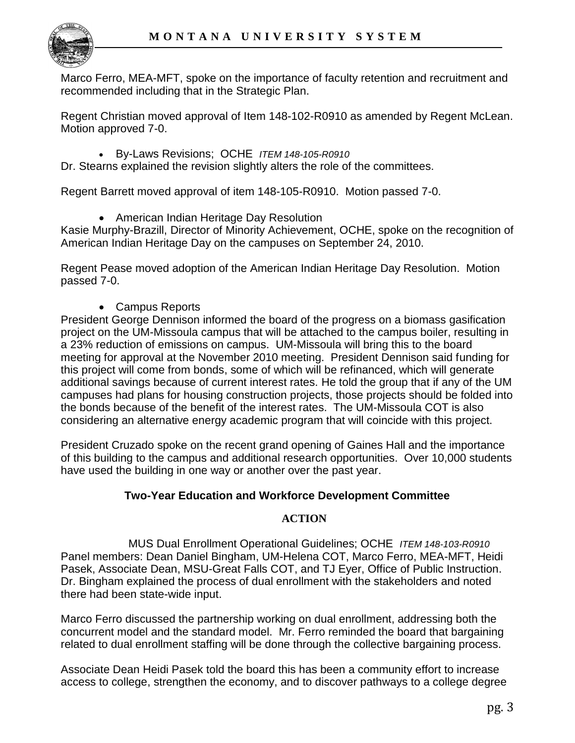

Marco Ferro, MEA-MFT, spoke on the importance of faculty retention and recruitment and recommended including that in the Strategic Plan.

Regent Christian moved approval of Item 148-102-R0910 as amended by Regent McLean. Motion approved 7-0.

By-Laws Revisions; OCHE *ITEM 148-105-R0910*

Dr. Stearns explained the revision slightly alters the role of the committees.

Regent Barrett moved approval of item 148-105-R0910. Motion passed 7-0.

• American Indian Heritage Day Resolution

Kasie Murphy-Brazill, Director of Minority Achievement, OCHE, spoke on the recognition of American Indian Heritage Day on the campuses on September 24, 2010.

Regent Pease moved adoption of the American Indian Heritage Day Resolution. Motion passed 7-0.

Campus Reports

President George Dennison informed the board of the progress on a biomass gasification project on the UM-Missoula campus that will be attached to the campus boiler, resulting in a 23% reduction of emissions on campus. UM-Missoula will bring this to the board meeting for approval at the November 2010 meeting. President Dennison said funding for this project will come from bonds, some of which will be refinanced, which will generate additional savings because of current interest rates. He told the group that if any of the UM campuses had plans for housing construction projects, those projects should be folded into the bonds because of the benefit of the interest rates. The UM-Missoula COT is also considering an alternative energy academic program that will coincide with this project.

President Cruzado spoke on the recent grand opening of Gaines Hall and the importance of this building to the campus and additional research opportunities. Over 10,000 students have used the building in one way or another over the past year.

### **Two-Year Education and Workforce Development Committee**

### **ACTION**

MUS Dual Enrollment Operational Guidelines; OCHE *ITEM 148-103-R0910*  Panel members: Dean Daniel Bingham, UM-Helena COT, Marco Ferro, MEA-MFT, Heidi Pasek, Associate Dean, MSU-Great Falls COT, and TJ Eyer, Office of Public Instruction. Dr. Bingham explained the process of dual enrollment with the stakeholders and noted there had been state-wide input.

Marco Ferro discussed the partnership working on dual enrollment, addressing both the concurrent model and the standard model. Mr. Ferro reminded the board that bargaining related to dual enrollment staffing will be done through the collective bargaining process.

Associate Dean Heidi Pasek told the board this has been a community effort to increase access to college, strengthen the economy, and to discover pathways to a college degree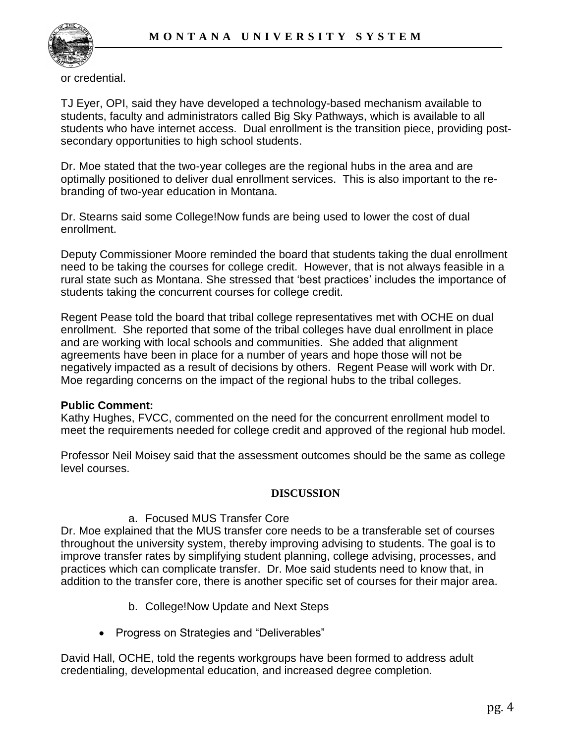

or credential.

TJ Eyer, OPI, said they have developed a technology-based mechanism available to students, faculty and administrators called Big Sky Pathways, which is available to all students who have internet access. Dual enrollment is the transition piece, providing postsecondary opportunities to high school students.

Dr. Moe stated that the two-year colleges are the regional hubs in the area and are optimally positioned to deliver dual enrollment services. This is also important to the rebranding of two-year education in Montana.

Dr. Stearns said some College!Now funds are being used to lower the cost of dual enrollment.

Deputy Commissioner Moore reminded the board that students taking the dual enrollment need to be taking the courses for college credit. However, that is not always feasible in a rural state such as Montana. She stressed that "best practices" includes the importance of students taking the concurrent courses for college credit.

Regent Pease told the board that tribal college representatives met with OCHE on dual enrollment. She reported that some of the tribal colleges have dual enrollment in place and are working with local schools and communities. She added that alignment agreements have been in place for a number of years and hope those will not be negatively impacted as a result of decisions by others. Regent Pease will work with Dr. Moe regarding concerns on the impact of the regional hubs to the tribal colleges.

### **Public Comment:**

Kathy Hughes, FVCC, commented on the need for the concurrent enrollment model to meet the requirements needed for college credit and approved of the regional hub model.

Professor Neil Moisey said that the assessment outcomes should be the same as college level courses.

#### **DISCUSSION**

### a. Focused MUS Transfer Core

Dr. Moe explained that the MUS transfer core needs to be a transferable set of courses throughout the university system, thereby improving advising to students. The goal is to improve transfer rates by simplifying student planning, college advising, processes, and practices which can complicate transfer. Dr. Moe said students need to know that, in addition to the transfer core, there is another specific set of courses for their major area.

- b. College!Now Update and Next Steps
- Progress on Strategies and "Deliverables"

David Hall, OCHE, told the regents workgroups have been formed to address adult credentialing, developmental education, and increased degree completion.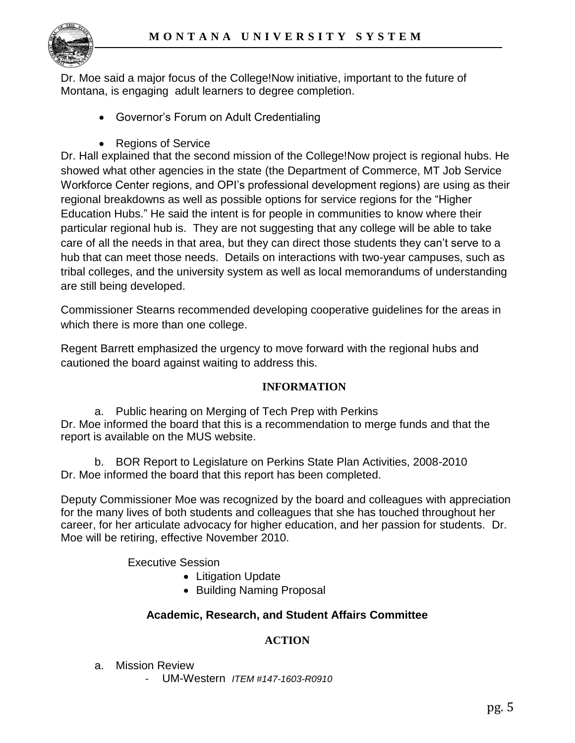

Dr. Moe said a major focus of the College!Now initiative, important to the future of Montana, is engaging adult learners to degree completion.

- Governor"s Forum on Adult Credentialing
- Regions of Service

Dr. Hall explained that the second mission of the College!Now project is regional hubs. He showed what other agencies in the state (the Department of Commerce, MT Job Service Workforce Center regions, and OPI"s professional development regions) are using as their regional breakdowns as well as possible options for service regions for the "Higher Education Hubs." He said the intent is for people in communities to know where their particular regional hub is. They are not suggesting that any college will be able to take care of all the needs in that area, but they can direct those students they can"t serve to a hub that can meet those needs. Details on interactions with two-year campuses, such as tribal colleges, and the university system as well as local memorandums of understanding are still being developed.

Commissioner Stearns recommended developing cooperative guidelines for the areas in which there is more than one college.

Regent Barrett emphasized the urgency to move forward with the regional hubs and cautioned the board against waiting to address this.

### **INFORMATION**

a. Public hearing on Merging of Tech Prep with Perkins Dr. Moe informed the board that this is a recommendation to merge funds and that the report is available on the MUS website.

b. BOR Report to Legislature on Perkins State Plan Activities, 2008-2010 Dr. Moe informed the board that this report has been completed.

Deputy Commissioner Moe was recognized by the board and colleagues with appreciation for the many lives of both students and colleagues that she has touched throughout her career, for her articulate advocacy for higher education, and her passion for students. Dr. Moe will be retiring, effective November 2010.

Executive Session

- Litigation Update
- Building Naming Proposal

# **Academic, Research, and Student Affairs Committee**

# **ACTION**

- a. Mission Review
	- UM-Western *ITEM #147-1603-R0910*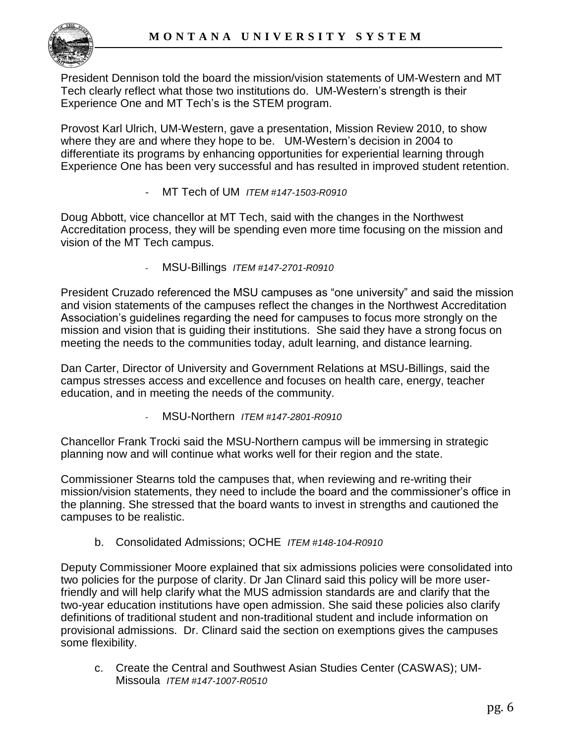

President Dennison told the board the mission/vision statements of UM-Western and MT Tech clearly reflect what those two institutions do. UM-Western"s strength is their Experience One and MT Tech's is the STEM program.

Provost Karl Ulrich, UM-Western, gave a presentation, Mission Review 2010, to show where they are and where they hope to be. UM-Western"s decision in 2004 to differentiate its programs by enhancing opportunities for experiential learning through Experience One has been very successful and has resulted in improved student retention.

- MT Tech of UM *ITEM #147-1503-R0910* 

Doug Abbott, vice chancellor at MT Tech, said with the changes in the Northwest Accreditation process, they will be spending even more time focusing on the mission and vision of the MT Tech campus.

- MSU-Billings *ITEM #147-2701-R0910* 

President Cruzado referenced the MSU campuses as "one university" and said the mission and vision statements of the campuses reflect the changes in the Northwest Accreditation Association"s guidelines regarding the need for campuses to focus more strongly on the mission and vision that is guiding their institutions. She said they have a strong focus on meeting the needs to the communities today, adult learning, and distance learning.

Dan Carter, Director of University and Government Relations at MSU-Billings, said the campus stresses access and excellence and focuses on health care, energy, teacher education, and in meeting the needs of the community.

- MSU-Northern *ITEM #147-2801-R0910* 

Chancellor Frank Trocki said the MSU-Northern campus will be immersing in strategic planning now and will continue what works well for their region and the state.

Commissioner Stearns told the campuses that, when reviewing and re-writing their mission/vision statements, they need to include the board and the commissioner"s office in the planning. She stressed that the board wants to invest in strengths and cautioned the campuses to be realistic.

b. Consolidated Admissions; OCHE *ITEM #148-104-R0910*

Deputy Commissioner Moore explained that six admissions policies were consolidated into two policies for the purpose of clarity. Dr Jan Clinard said this policy will be more userfriendly and will help clarify what the MUS admission standards are and clarify that the two-year education institutions have open admission. She said these policies also clarify definitions of traditional student and non-traditional student and include information on provisional admissions. Dr. Clinard said the section on exemptions gives the campuses some flexibility.

c. Create the Central and Southwest Asian Studies Center (CASWAS); UM-Missoula *ITEM #147-1007-R0510*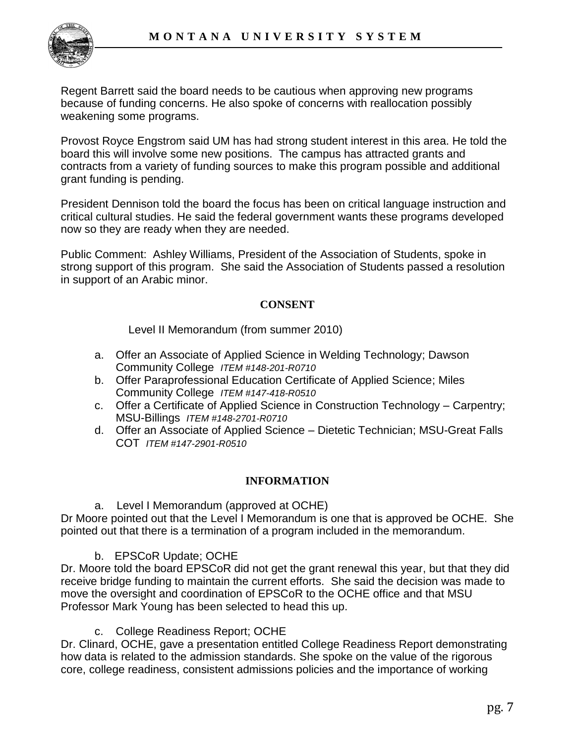Regent Barrett said the board needs to be cautious when approving new programs because of funding concerns. He also spoke of concerns with reallocation possibly weakening some programs.

Provost Royce Engstrom said UM has had strong student interest in this area. He told the board this will involve some new positions. The campus has attracted grants and contracts from a variety of funding sources to make this program possible and additional grant funding is pending.

President Dennison told the board the focus has been on critical language instruction and critical cultural studies. He said the federal government wants these programs developed now so they are ready when they are needed.

Public Comment: Ashley Williams, President of the Association of Students, spoke in strong support of this program. She said the Association of Students passed a resolution in support of an Arabic minor.

### **CONSENT**

Level II Memorandum (from summer 2010)

- a. Offer an Associate of Applied Science in Welding Technology; Dawson Community College *ITEM #148-201-R0710*
- b. Offer Paraprofessional Education Certificate of Applied Science; Miles Community College *ITEM #147-418-R0510*
- c. Offer a Certificate of Applied Science in Construction Technology Carpentry; MSU-Billings *ITEM #148-2701-R0710*
- d. Offer an Associate of Applied Science Dietetic Technician; MSU-Great Falls COT *ITEM #147-2901-R0510*

### **INFORMATION**

a. Level I Memorandum (approved at OCHE)

Dr Moore pointed out that the Level I Memorandum is one that is approved be OCHE. She pointed out that there is a termination of a program included in the memorandum.

### b. EPSCoR Update; OCHE

Dr. Moore told the board EPSCoR did not get the grant renewal this year, but that they did receive bridge funding to maintain the current efforts. She said the decision was made to move the oversight and coordination of EPSCoR to the OCHE office and that MSU Professor Mark Young has been selected to head this up.

c. College Readiness Report; OCHE

Dr. Clinard, OCHE, gave a presentation entitled College Readiness Report demonstrating how data is related to the admission standards. She spoke on the value of the rigorous core, college readiness, consistent admissions policies and the importance of working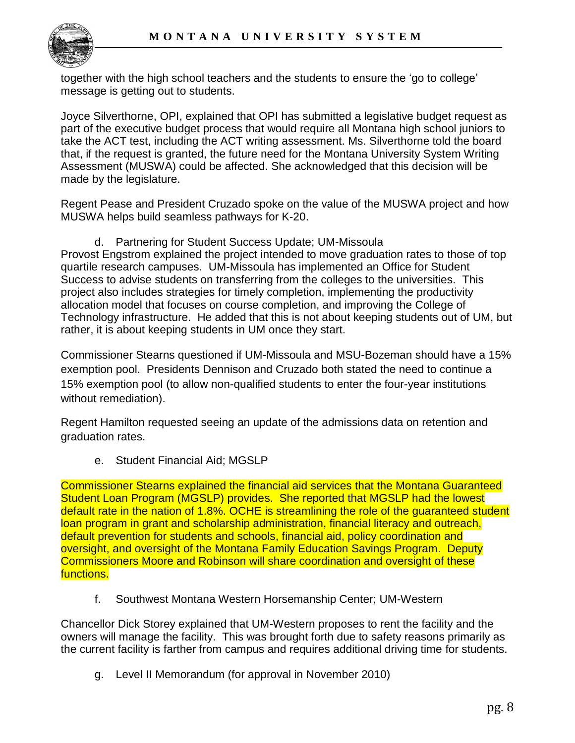

together with the high school teachers and the students to ensure the "go to college" message is getting out to students.

Joyce Silverthorne, OPI, explained that OPI has submitted a legislative budget request as part of the executive budget process that would require all Montana high school juniors to take the ACT test, including the ACT writing assessment. Ms. Silverthorne told the board that, if the request is granted, the future need for the Montana University System Writing Assessment (MUSWA) could be affected. She acknowledged that this decision will be made by the legislature.

Regent Pease and President Cruzado spoke on the value of the MUSWA project and how MUSWA helps build seamless pathways for K-20.

d. Partnering for Student Success Update; UM-Missoula

Provost Engstrom explained the project intended to move graduation rates to those of top quartile research campuses. UM-Missoula has implemented an Office for Student Success to advise students on transferring from the colleges to the universities. This project also includes strategies for timely completion, implementing the productivity allocation model that focuses on course completion, and improving the College of Technology infrastructure. He added that this is not about keeping students out of UM, but rather, it is about keeping students in UM once they start.

Commissioner Stearns questioned if UM-Missoula and MSU-Bozeman should have a 15% exemption pool. Presidents Dennison and Cruzado both stated the need to continue a 15% exemption pool (to allow non-qualified students to enter the four-year institutions without remediation).

Regent Hamilton requested seeing an update of the admissions data on retention and graduation rates.

e. Student Financial Aid; MGSLP

Commissioner Stearns explained the financial aid services that the Montana Guaranteed Student Loan Program (MGSLP) provides. She reported that MGSLP had the lowest default rate in the nation of 1.8%. OCHE is streamlining the role of the guaranteed student loan program in grant and scholarship administration, financial literacy and outreach, default prevention for students and schools, financial aid, policy coordination and oversight, and oversight of the Montana Family Education Savings Program. Deputy Commissioners Moore and Robinson will share coordination and oversight of these functions.

f. Southwest Montana Western Horsemanship Center; UM-Western

Chancellor Dick Storey explained that UM-Western proposes to rent the facility and the owners will manage the facility. This was brought forth due to safety reasons primarily as the current facility is farther from campus and requires additional driving time for students.

g. Level II Memorandum (for approval in November 2010)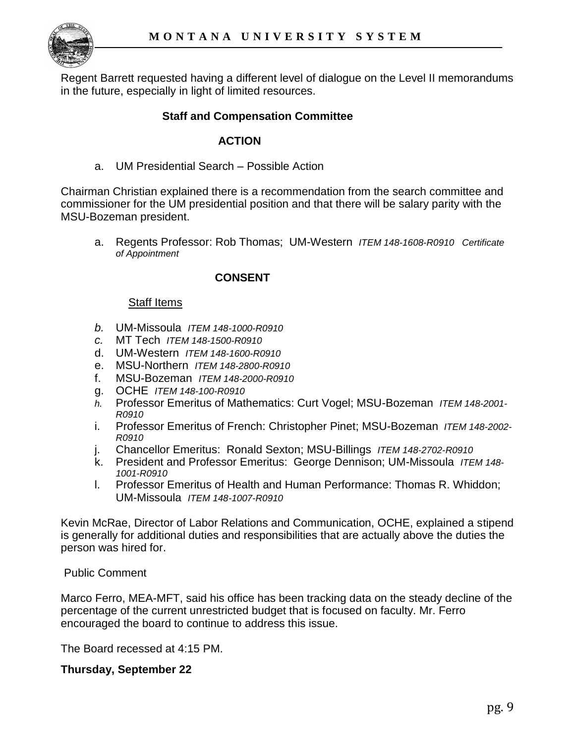

Regent Barrett requested having a different level of dialogue on the Level II memorandums in the future, especially in light of limited resources.

### **Staff and Compensation Committee**

### **ACTION**

a. UM Presidential Search – Possible Action

Chairman Christian explained there is a recommendation from the search committee and commissioner for the UM presidential position and that there will be salary parity with the MSU-Bozeman president.

a. Regents Professor: Rob Thomas; UM-Western *ITEM 148-1608-R0910 Certificate of Appointment*

### **CONSENT**

#### Staff Items

- *b.* UM-Missoula *ITEM 148-1000-R0910*
- *c.* MT Tech *ITEM 148-1500-R0910*
- d. UM-Western *ITEM 148-1600-R0910*
- e. MSU-Northern *ITEM 148-2800-R0910*
- f. MSU-Bozeman *ITEM 148-2000-R0910*
- g. OCHE *ITEM 148-100-R0910*
- *h.* Professor Emeritus of Mathematics: Curt Vogel; MSU-Bozeman *ITEM 148-2001- R0910*
- i. Professor Emeritus of French: Christopher Pinet; MSU-Bozeman *ITEM 148-2002- R0910*
- j. Chancellor Emeritus: Ronald Sexton; MSU-Billings *ITEM 148-2702-R0910*
- k. President and Professor Emeritus: George Dennison; UM-Missoula *ITEM 148- 1001-R0910*
- l. Professor Emeritus of Health and Human Performance: Thomas R. Whiddon; UM-Missoula *ITEM 148-1007-R0910*

Kevin McRae, Director of Labor Relations and Communication, OCHE, explained a stipend is generally for additional duties and responsibilities that are actually above the duties the person was hired for.

Public Comment

Marco Ferro, MEA-MFT, said his office has been tracking data on the steady decline of the percentage of the current unrestricted budget that is focused on faculty. Mr. Ferro encouraged the board to continue to address this issue.

The Board recessed at 4:15 PM.

#### **Thursday, September 22**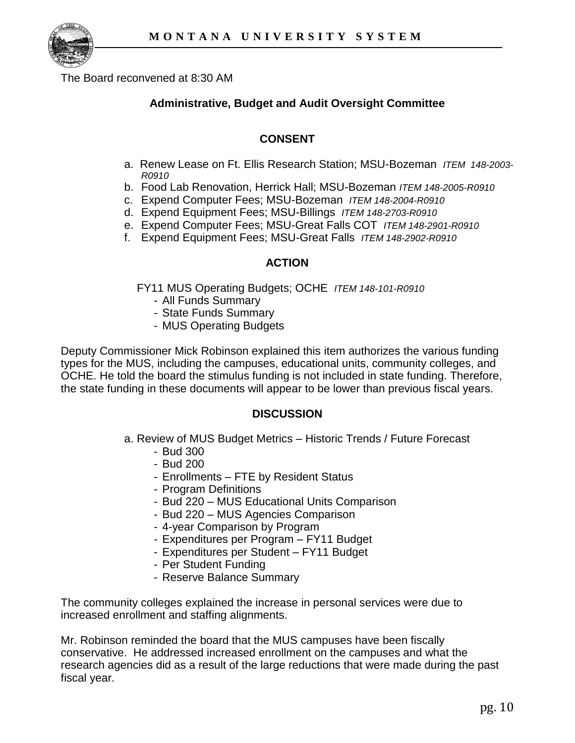

The Board reconvened at 8:30 AM

# **Administrative, Budget and Audit Oversight Committee**

# **CONSENT**

- a. Renew Lease on Ft. Ellis Research Station; MSU-Bozeman *ITEM 148-2003- R0910*
- b. Food Lab Renovation, Herrick Hall; MSU-Bozeman *ITEM 148-2005-R0910*
- c. Expend Computer Fees; MSU-Bozeman *ITEM 148-2004-R0910*
- d. Expend Equipment Fees; MSU-Billings *ITEM 148-2703-R0910*
- e. Expend Computer Fees; MSU-Great Falls COT *ITEM 148-2901-R0910*
- f. Expend Equipment Fees; MSU-Great Falls *ITEM 148-2902-R0910*

### **ACTION**

FY11 MUS Operating Budgets; OCHE *ITEM 148-101-R0910*

- All Funds Summary
- State Funds Summary
- MUS Operating Budgets

Deputy Commissioner Mick Robinson explained this item authorizes the various funding types for the MUS, including the campuses, educational units, community colleges, and OCHE. He told the board the stimulus funding is not included in state funding. Therefore, the state funding in these documents will appear to be lower than previous fiscal years.

### **DISCUSSION**

- a. Review of MUS Budget Metrics Historic Trends / Future Forecast
	- Bud 300
	- Bud 200
	- Enrollments FTE by Resident Status
	- Program Definitions
	- Bud 220 MUS Educational Units Comparison
	- Bud 220 MUS Agencies Comparison
	- 4-year Comparison by Program
	- Expenditures per Program FY11 Budget
	- Expenditures per Student FY11 Budget
	- Per Student Funding
	- Reserve Balance Summary

The community colleges explained the increase in personal services were due to increased enrollment and staffing alignments.

Mr. Robinson reminded the board that the MUS campuses have been fiscally conservative. He addressed increased enrollment on the campuses and what the research agencies did as a result of the large reductions that were made during the past fiscal year.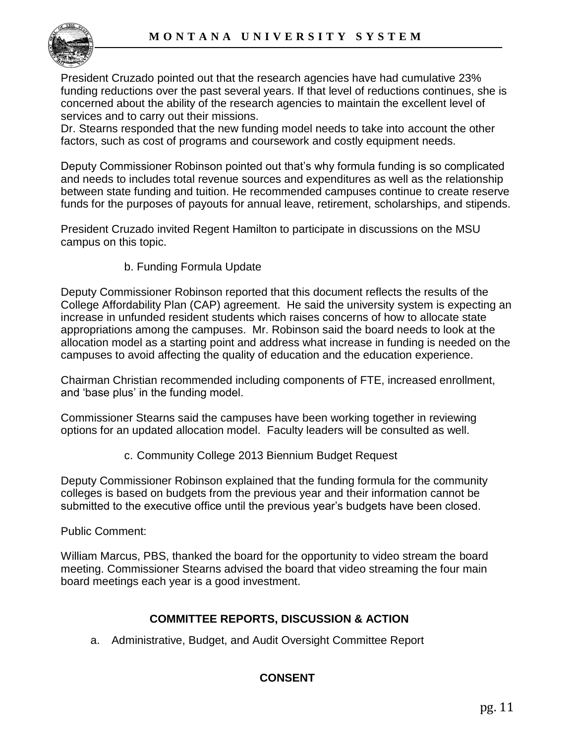

President Cruzado pointed out that the research agencies have had cumulative 23% funding reductions over the past several years. If that level of reductions continues, she is concerned about the ability of the research agencies to maintain the excellent level of services and to carry out their missions.

Dr. Stearns responded that the new funding model needs to take into account the other factors, such as cost of programs and coursework and costly equipment needs.

Deputy Commissioner Robinson pointed out that"s why formula funding is so complicated and needs to includes total revenue sources and expenditures as well as the relationship between state funding and tuition. He recommended campuses continue to create reserve funds for the purposes of payouts for annual leave, retirement, scholarships, and stipends.

President Cruzado invited Regent Hamilton to participate in discussions on the MSU campus on this topic.

## b. Funding Formula Update

Deputy Commissioner Robinson reported that this document reflects the results of the College Affordability Plan (CAP) agreement. He said the university system is expecting an increase in unfunded resident students which raises concerns of how to allocate state appropriations among the campuses. Mr. Robinson said the board needs to look at the allocation model as a starting point and address what increase in funding is needed on the campuses to avoid affecting the quality of education and the education experience.

Chairman Christian recommended including components of FTE, increased enrollment, and "base plus" in the funding model.

Commissioner Stearns said the campuses have been working together in reviewing options for an updated allocation model. Faculty leaders will be consulted as well.

c. Community College 2013 Biennium Budget Request

Deputy Commissioner Robinson explained that the funding formula for the community colleges is based on budgets from the previous year and their information cannot be submitted to the executive office until the previous year"s budgets have been closed.

Public Comment:

William Marcus, PBS, thanked the board for the opportunity to video stream the board meeting. Commissioner Stearns advised the board that video streaming the four main board meetings each year is a good investment.

# **COMMITTEE REPORTS, DISCUSSION & ACTION**

a. Administrative, Budget, and Audit Oversight Committee Report

# **CONSENT**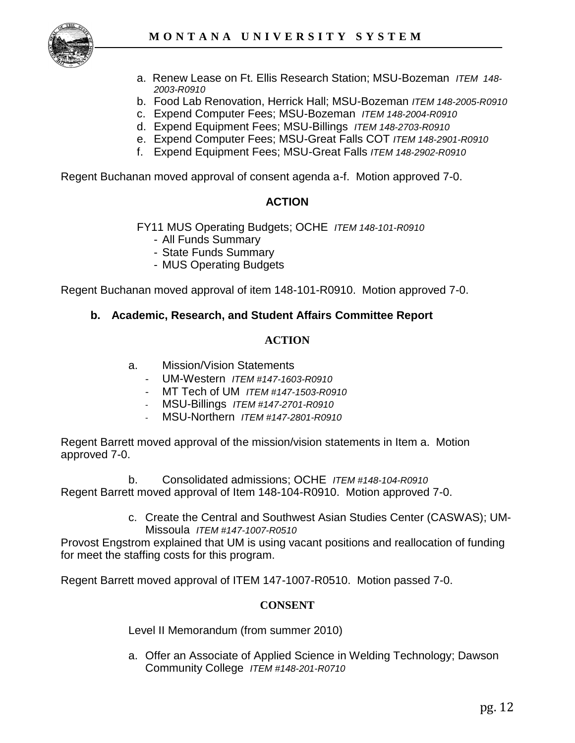

- a. Renew Lease on Ft. Ellis Research Station; MSU-Bozeman *ITEM 148- 2003-R0910*
- b. Food Lab Renovation, Herrick Hall; MSU-Bozeman *ITEM 148-2005-R0910*
- c. Expend Computer Fees; MSU-Bozeman *ITEM 148-2004-R0910*
- d. Expend Equipment Fees; MSU-Billings *ITEM 148-2703-R0910*
- e. Expend Computer Fees; MSU-Great Falls COT *ITEM 148-2901-R0910*
- f. Expend Equipment Fees; MSU-Great Falls *ITEM 148-2902-R0910*

Regent Buchanan moved approval of consent agenda a-f. Motion approved 7-0.

### **ACTION**

FY11 MUS Operating Budgets; OCHE *ITEM 148-101-R0910*

- All Funds Summary
- State Funds Summary
- MUS Operating Budgets

Regent Buchanan moved approval of item 148-101-R0910. Motion approved 7-0.

### **b. Academic, Research, and Student Affairs Committee Report**

#### **ACTION**

- a. Mission/Vision Statements
	- UM-Western *ITEM #147-1603-R0910*
	- MT Tech of UM *ITEM #147-1503-R0910*
	- MSU-Billings *ITEM #147-2701-R0910*
	- MSU-Northern *ITEM #147-2801-R0910*

Regent Barrett moved approval of the mission/vision statements in Item a. Motion approved 7-0.

b. Consolidated admissions; OCHE *ITEM #148-104-R0910* Regent Barrett moved approval of Item 148-104-R0910. Motion approved 7-0.

> c. Create the Central and Southwest Asian Studies Center (CASWAS); UM-Missoula *ITEM #147-1007-R0510*

Provost Engstrom explained that UM is using vacant positions and reallocation of funding for meet the staffing costs for this program.

Regent Barrett moved approval of ITEM 147-1007-R0510. Motion passed 7-0.

#### **CONSENT**

Level II Memorandum (from summer 2010)

a. Offer an Associate of Applied Science in Welding Technology; Dawson Community College *ITEM #148-201-R0710*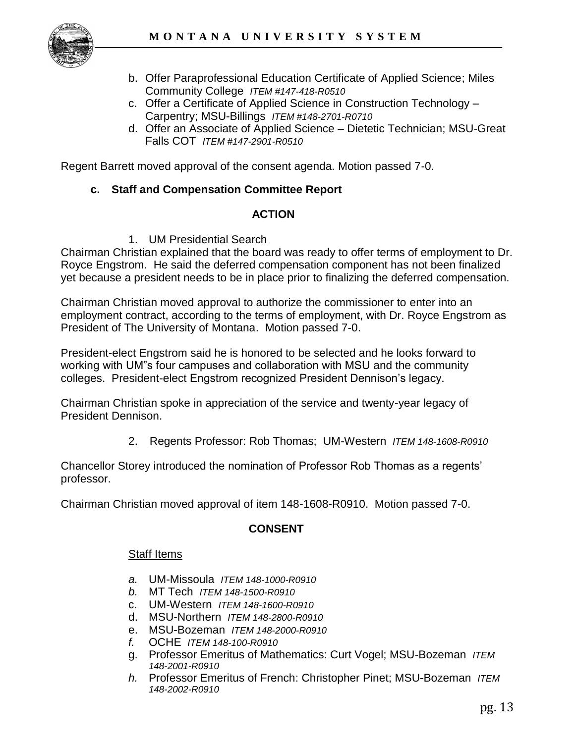

- b. Offer Paraprofessional Education Certificate of Applied Science; Miles Community College *ITEM #147-418-R0510*
- c. Offer a Certificate of Applied Science in Construction Technology Carpentry; MSU-Billings *ITEM #148-2701-R0710*
- d. Offer an Associate of Applied Science Dietetic Technician; MSU-Great Falls COT *ITEM #147-2901-R0510*

Regent Barrett moved approval of the consent agenda. Motion passed 7-0.

# **c. Staff and Compensation Committee Report**

## **ACTION**

1. UM Presidential Search

Chairman Christian explained that the board was ready to offer terms of employment to Dr. Royce Engstrom. He said the deferred compensation component has not been finalized yet because a president needs to be in place prior to finalizing the deferred compensation.

Chairman Christian moved approval to authorize the commissioner to enter into an employment contract, according to the terms of employment, with Dr. Royce Engstrom as President of The University of Montana. Motion passed 7-0.

President-elect Engstrom said he is honored to be selected and he looks forward to working with UM"s four campuses and collaboration with MSU and the community colleges. President-elect Engstrom recognized President Dennison"s legacy.

Chairman Christian spoke in appreciation of the service and twenty-year legacy of President Dennison.

2. Regents Professor: Rob Thomas; UM-Western *ITEM 148-1608-R0910* 

Chancellor Storey introduced the nomination of Professor Rob Thomas as a regents" professor.

Chairman Christian moved approval of item 148-1608-R0910. Motion passed 7-0.

# **CONSENT**

### Staff Items

- *a.* UM-Missoula *ITEM 148-1000-R0910*
- *b.* MT Tech *ITEM 148-1500-R0910*
- c. UM-Western *ITEM 148-1600-R0910*
- d. MSU-Northern *ITEM 148-2800-R0910*
- e. MSU-Bozeman *ITEM 148-2000-R0910*
- *f.* OCHE *ITEM 148-100-R0910*
- g. Professor Emeritus of Mathematics: Curt Vogel; MSU-Bozeman *ITEM 148-2001-R0910*
- *h.* Professor Emeritus of French: Christopher Pinet; MSU-Bozeman *ITEM 148-2002-R0910*